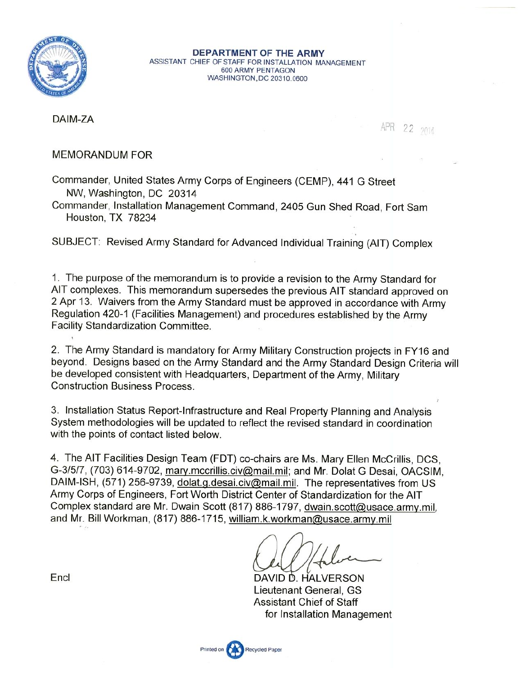

DEPARTMENT OF THE ARMY ASSISTANT CHIEF OF STAFF FOR INSTALLATION MANAGEMENT 600 ARMY PENTAGON WASHINGTON, DC 20310.0600

DAIM-ZA

APR 22 2014

### **MEMORANDUM FOR**

Commander, United States Army Corps of Engineers (CEMP), 441 G Street NW, Washington, DC 20314

Commander, Installation Management Command, 2405 Gun Shed Road, Fort Sam Houston, TX 78234

SUBJECT: Revised Army Standard for Advanced Individual Training (AIT) Complex

1. The purpose of the memorandum is to provide a revision to the Army Standard for AIT complexes. This memorandum supersedes the previous AIT standard approved on 2 Apr 13. Waivers from the Army Standard must be approved in accordance with Army Regulation 420-1 (Facilities Management) and procedures established by the Army **Facility Standardization Committee.** 

2. The Army Standard is mandatory for Army Military Construction projects in FY16 and beyond. Designs based on the Army Standard and the Army Standard Design Criteria will be developed consistent with Headquarters, Department of the Army, Military **Construction Business Process.** 

3. Installation Status Report-Infrastructure and Real Property Planning and Analysis System methodologies will be updated to reflect the revised standard in coordination with the points of contact listed below.

4. The AIT Facilities Design Team (FDT) co-chairs are Ms. Mary Ellen McCrillis, DCS, G-3/5/7, (703) 614-9702, mary.mccrillis.civ@mail.mil; and Mr. Dolat G Desai, OACSIM, DAIM-ISH, (571) 256-9739, dolat.g.desai.civ@mail.mil. The representatives from US Army Corps of Engineers, Fort Worth District Center of Standardization for the AIT Complex standard are Mr. Dwain Scott (817) 886-1797, dwain.scott@usace.army.mil, and Mr. Bill Workman, (817) 886-1715, william.k.workman@usace.army.mil

DAVID D. HALVERSON Lieutenant General, GS **Assistant Chief of Staff** for Installation Management

Encl

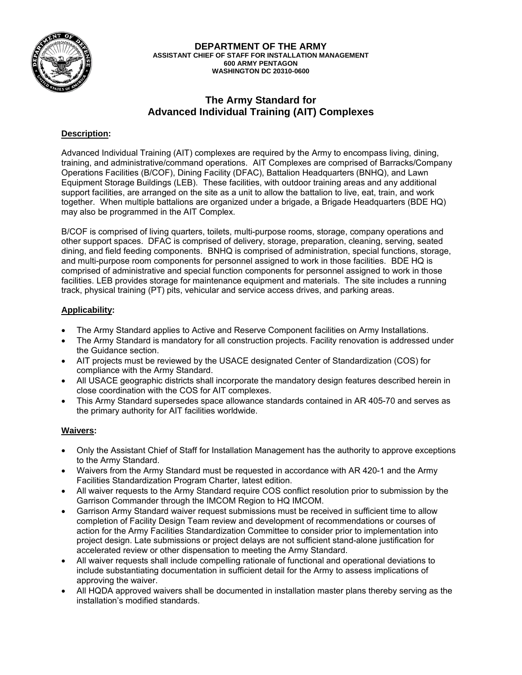

**DEPARTMENT OF THE ARMY ASSISTANT CHIEF OF STAFF FOR INSTALLATION MANAGEMENT 600 ARMY PENTAGON WASHINGTON DC 20310-0600** 

### **The Army Standard for Advanced Individual Training (AIT) Complexes**

### **Description:**

Advanced Individual Training (AIT) complexes are required by the Army to encompass living, dining, training, and administrative/command operations. AIT Complexes are comprised of Barracks/Company Operations Facilities (B/COF), Dining Facility (DFAC), Battalion Headquarters (BNHQ), and Lawn Equipment Storage Buildings (LEB). These facilities, with outdoor training areas and any additional support facilities, are arranged on the site as a unit to allow the battalion to live, eat, train, and work together. When multiple battalions are organized under a brigade, a Brigade Headquarters (BDE HQ) may also be programmed in the AIT Complex.

B/COF is comprised of living quarters, toilets, multi-purpose rooms, storage, company operations and other support spaces. DFAC is comprised of delivery, storage, preparation, cleaning, serving, seated dining, and field feeding components. BNHQ is comprised of administration, special functions, storage, and multi-purpose room components for personnel assigned to work in those facilities. BDE HQ is comprised of administrative and special function components for personnel assigned to work in those facilities. LEB provides storage for maintenance equipment and materials. The site includes a running track, physical training (PT) pits, vehicular and service access drives, and parking areas.

#### **Applicability:**

- The Army Standard applies to Active and Reserve Component facilities on Army Installations.
- The Army Standard is mandatory for all construction projects. Facility renovation is addressed under the Guidance section.
- AIT projects must be reviewed by the USACE designated Center of Standardization (COS) for compliance with the Army Standard.
- All USACE geographic districts shall incorporate the mandatory design features described herein in close coordination with the COS for AIT complexes.
- This Army Standard supersedes space allowance standards contained in AR 405-70 and serves as the primary authority for AIT facilities worldwide.

#### **Waivers:**

- Only the Assistant Chief of Staff for Installation Management has the authority to approve exceptions to the Army Standard.
- Waivers from the Army Standard must be requested in accordance with AR 420-1 and the Army Facilities Standardization Program Charter, latest edition.
- All waiver requests to the Army Standard require COS conflict resolution prior to submission by the Garrison Commander through the IMCOM Region to HQ IMCOM.
- Garrison Army Standard waiver request submissions must be received in sufficient time to allow completion of Facility Design Team review and development of recommendations or courses of action for the Army Facilities Standardization Committee to consider prior to implementation into project design. Late submissions or project delays are not sufficient stand-alone justification for accelerated review or other dispensation to meeting the Army Standard.
- All waiver requests shall include compelling rationale of functional and operational deviations to include substantiating documentation in sufficient detail for the Army to assess implications of approving the waiver.
- All HQDA approved waivers shall be documented in installation master plans thereby serving as the installation's modified standards.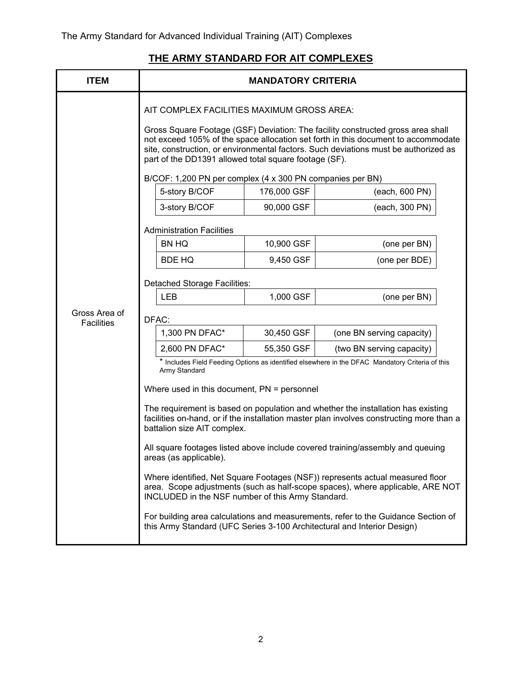# **THE ARMY STANDARD FOR AIT COMPLEXES**

| <b>ITEM</b>                        | <b>MANDATORY CRITERIA</b>                                                                                                                                                                                                                                                                                                                                                                                                       |             |                                                                                                                                                                                                                                                                                                                                                                                                                                                                                                                                                                                                                           |  |
|------------------------------------|---------------------------------------------------------------------------------------------------------------------------------------------------------------------------------------------------------------------------------------------------------------------------------------------------------------------------------------------------------------------------------------------------------------------------------|-------------|---------------------------------------------------------------------------------------------------------------------------------------------------------------------------------------------------------------------------------------------------------------------------------------------------------------------------------------------------------------------------------------------------------------------------------------------------------------------------------------------------------------------------------------------------------------------------------------------------------------------------|--|
|                                    | AIT COMPLEX FACILITIES MAXIMUM GROSS AREA:<br>Gross Square Footage (GSF) Deviation: The facility constructed gross area shall<br>not exceed 105% of the space allocation set forth in this document to accommodate<br>site, construction, or environmental factors. Such deviations must be authorized as<br>part of the DD1391 allowed total square footage (SF).<br>B/COF: 1,200 PN per complex (4 x 300 PN companies per BN) |             |                                                                                                                                                                                                                                                                                                                                                                                                                                                                                                                                                                                                                           |  |
|                                    | 5-story B/COF                                                                                                                                                                                                                                                                                                                                                                                                                   | 176,000 GSF | (each, 600 PN)                                                                                                                                                                                                                                                                                                                                                                                                                                                                                                                                                                                                            |  |
|                                    | 3-story B/COF                                                                                                                                                                                                                                                                                                                                                                                                                   | 90,000 GSF  | (each, 300 PN)                                                                                                                                                                                                                                                                                                                                                                                                                                                                                                                                                                                                            |  |
|                                    | <b>Administration Facilities</b>                                                                                                                                                                                                                                                                                                                                                                                                |             |                                                                                                                                                                                                                                                                                                                                                                                                                                                                                                                                                                                                                           |  |
|                                    | BN HQ                                                                                                                                                                                                                                                                                                                                                                                                                           | 10,900 GSF  | (one per BN)                                                                                                                                                                                                                                                                                                                                                                                                                                                                                                                                                                                                              |  |
|                                    | <b>BDE HQ</b>                                                                                                                                                                                                                                                                                                                                                                                                                   | 9,450 GSF   | (one per BDE)                                                                                                                                                                                                                                                                                                                                                                                                                                                                                                                                                                                                             |  |
|                                    | <b>Detached Storage Facilities:</b>                                                                                                                                                                                                                                                                                                                                                                                             |             |                                                                                                                                                                                                                                                                                                                                                                                                                                                                                                                                                                                                                           |  |
|                                    | <b>LEB</b>                                                                                                                                                                                                                                                                                                                                                                                                                      | 1,000 GSF   | (one per BN)                                                                                                                                                                                                                                                                                                                                                                                                                                                                                                                                                                                                              |  |
| Gross Area of<br><b>Facilities</b> | DFAC:                                                                                                                                                                                                                                                                                                                                                                                                                           |             |                                                                                                                                                                                                                                                                                                                                                                                                                                                                                                                                                                                                                           |  |
|                                    | 1,300 PN DFAC*                                                                                                                                                                                                                                                                                                                                                                                                                  | 30,450 GSF  | (one BN serving capacity)                                                                                                                                                                                                                                                                                                                                                                                                                                                                                                                                                                                                 |  |
|                                    | 2,600 PN DFAC*                                                                                                                                                                                                                                                                                                                                                                                                                  | 55,350 GSF  | (two BN serving capacity)                                                                                                                                                                                                                                                                                                                                                                                                                                                                                                                                                                                                 |  |
|                                    | Army Standard<br>Where used in this document, $PN =$ personnel<br>battalion size AIT complex.<br>areas (as applicable).<br>INCLUDED in the NSF number of this Army Standard.<br>this Army Standard (UFC Series 3-100 Architectural and Interior Design)                                                                                                                                                                         |             | * Includes Field Feeding Options as identified elsewhere in the DFAC Mandatory Criteria of this<br>The requirement is based on population and whether the installation has existing<br>facilities on-hand, or if the installation master plan involves constructing more than a<br>All square footages listed above include covered training/assembly and queuing<br>Where identified, Net Square Footages (NSF)) represents actual measured floor<br>area. Scope adjustments (such as half-scope spaces), where applicable, ARE NOT<br>For building area calculations and measurements, refer to the Guidance Section of |  |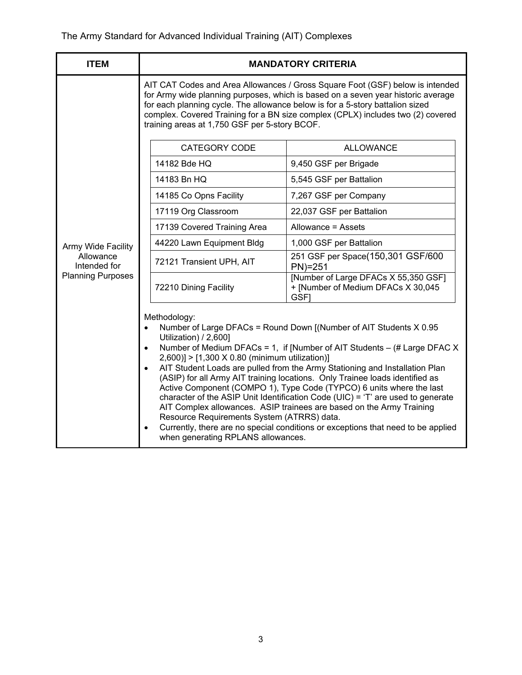| <b>ITEM</b>               | <b>MANDATORY CRITERIA</b>                                                                                                                                                                                                                                                                                                                                                                                                                                                                                                                                                                                                                                                                                                                                                                                                                                               |                                                                                    |  |
|---------------------------|-------------------------------------------------------------------------------------------------------------------------------------------------------------------------------------------------------------------------------------------------------------------------------------------------------------------------------------------------------------------------------------------------------------------------------------------------------------------------------------------------------------------------------------------------------------------------------------------------------------------------------------------------------------------------------------------------------------------------------------------------------------------------------------------------------------------------------------------------------------------------|------------------------------------------------------------------------------------|--|
|                           | AIT CAT Codes and Area Allowances / Gross Square Foot (GSF) below is intended<br>for Army wide planning purposes, which is based on a seven year historic average<br>for each planning cycle. The allowance below is for a 5-story battalion sized<br>complex. Covered Training for a BN size complex (CPLX) includes two (2) covered<br>training areas at 1,750 GSF per 5-story BCOF.                                                                                                                                                                                                                                                                                                                                                                                                                                                                                  |                                                                                    |  |
|                           | <b>CATEGORY CODE</b>                                                                                                                                                                                                                                                                                                                                                                                                                                                                                                                                                                                                                                                                                                                                                                                                                                                    | <b>ALLOWANCE</b>                                                                   |  |
|                           | 14182 Bde HQ                                                                                                                                                                                                                                                                                                                                                                                                                                                                                                                                                                                                                                                                                                                                                                                                                                                            | 9,450 GSF per Brigade                                                              |  |
|                           | 14183 Bn HQ                                                                                                                                                                                                                                                                                                                                                                                                                                                                                                                                                                                                                                                                                                                                                                                                                                                             | 5,545 GSF per Battalion                                                            |  |
|                           | 14185 Co Opns Facility                                                                                                                                                                                                                                                                                                                                                                                                                                                                                                                                                                                                                                                                                                                                                                                                                                                  | 7,267 GSF per Company                                                              |  |
|                           | 17119 Org Classroom                                                                                                                                                                                                                                                                                                                                                                                                                                                                                                                                                                                                                                                                                                                                                                                                                                                     | 22,037 GSF per Battalion                                                           |  |
|                           | 17139 Covered Training Area                                                                                                                                                                                                                                                                                                                                                                                                                                                                                                                                                                                                                                                                                                                                                                                                                                             | Allowance = Assets                                                                 |  |
| Army Wide Facility        | 44220 Lawn Equipment Bldg                                                                                                                                                                                                                                                                                                                                                                                                                                                                                                                                                                                                                                                                                                                                                                                                                                               | 1,000 GSF per Battalion                                                            |  |
| Allowance<br>Intended for | 72121 Transient UPH, AIT                                                                                                                                                                                                                                                                                                                                                                                                                                                                                                                                                                                                                                                                                                                                                                                                                                                | 251 GSF per Space(150,301 GSF/600<br>$PN)=251$                                     |  |
| <b>Planning Purposes</b>  | 72210 Dining Facility                                                                                                                                                                                                                                                                                                                                                                                                                                                                                                                                                                                                                                                                                                                                                                                                                                                   | [Number of Large DFACs X 55,350 GSF]<br>+ [Number of Medium DFACs X 30,045<br>GSF1 |  |
|                           | Methodology:<br>Number of Large DFACs = Round Down [(Number of AIT Students X 0.95<br>$\bullet$<br>Utilization) / 2,600]<br>Number of Medium DFACs = 1, if [Number of AIT Students - (# Large DFAC X<br>$\bullet$<br>2,600)] > [1,300 X 0.80 (minimum utilization)]<br>AIT Student Loads are pulled from the Army Stationing and Installation Plan<br>$\bullet$<br>(ASIP) for all Army AIT training locations. Only Trainee loads identified as<br>Active Component (COMPO 1), Type Code (TYPCO) 6 units where the last<br>character of the ASIP Unit Identification Code (UIC) = 'T' are used to generate<br>AIT Complex allowances. ASIP trainees are based on the Army Training<br>Resource Requirements System (ATRRS) data.<br>Currently, there are no special conditions or exceptions that need to be applied<br>$\bullet$<br>when generating RPLANS allowances. |                                                                                    |  |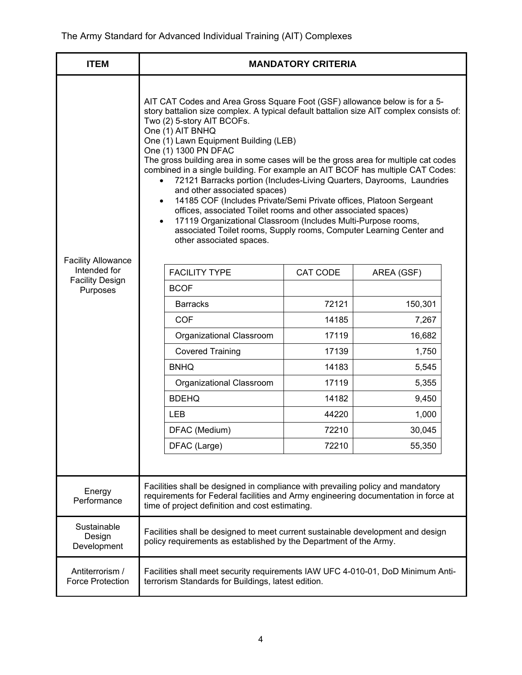| <b>ITEM</b>                                | <b>MANDATORY CRITERIA</b>                                                                                                                                                                                                                                                                                                                                                                                                                                                                                                                                                                                                                                                                                                                                                                                                                                                                                                    |                          |          |            |
|--------------------------------------------|------------------------------------------------------------------------------------------------------------------------------------------------------------------------------------------------------------------------------------------------------------------------------------------------------------------------------------------------------------------------------------------------------------------------------------------------------------------------------------------------------------------------------------------------------------------------------------------------------------------------------------------------------------------------------------------------------------------------------------------------------------------------------------------------------------------------------------------------------------------------------------------------------------------------------|--------------------------|----------|------------|
|                                            | AIT CAT Codes and Area Gross Square Foot (GSF) allowance below is for a 5-<br>story battalion size complex. A typical default battalion size AIT complex consists of:<br>Two (2) 5-story AIT BCOFs.<br>One (1) AIT BNHQ<br>One (1) Lawn Equipment Building (LEB)<br>One (1) 1300 PN DFAC<br>The gross building area in some cases will be the gross area for multiple cat codes<br>combined in a single building. For example an AIT BCOF has multiple CAT Codes:<br>72121 Barracks portion (Includes-Living Quarters, Dayrooms, Laundries<br>$\bullet$<br>and other associated spaces)<br>14185 COF (Includes Private/Semi Private offices, Platoon Sergeant<br>$\bullet$<br>offices, associated Toilet rooms and other associated spaces)<br>17119 Organizational Classroom (Includes Multi-Purpose rooms,<br>$\bullet$<br>associated Toilet rooms, Supply rooms, Computer Learning Center and<br>other associated spaces. |                          |          |            |
| <b>Facility Allowance</b><br>Intended for  |                                                                                                                                                                                                                                                                                                                                                                                                                                                                                                                                                                                                                                                                                                                                                                                                                                                                                                                              | <b>FACILITY TYPE</b>     | CAT CODE | AREA (GSF) |
| <b>Facility Design</b><br>Purposes         | <b>BCOF</b>                                                                                                                                                                                                                                                                                                                                                                                                                                                                                                                                                                                                                                                                                                                                                                                                                                                                                                                  |                          |          |            |
|                                            | <b>Barracks</b>                                                                                                                                                                                                                                                                                                                                                                                                                                                                                                                                                                                                                                                                                                                                                                                                                                                                                                              |                          | 72121    | 150,301    |
|                                            | <b>COF</b>                                                                                                                                                                                                                                                                                                                                                                                                                                                                                                                                                                                                                                                                                                                                                                                                                                                                                                                   |                          | 14185    | 7,267      |
|                                            |                                                                                                                                                                                                                                                                                                                                                                                                                                                                                                                                                                                                                                                                                                                                                                                                                                                                                                                              | Organizational Classroom | 17119    | 16,682     |
|                                            |                                                                                                                                                                                                                                                                                                                                                                                                                                                                                                                                                                                                                                                                                                                                                                                                                                                                                                                              | <b>Covered Training</b>  | 17139    | 1,750      |
|                                            | <b>BNHQ</b>                                                                                                                                                                                                                                                                                                                                                                                                                                                                                                                                                                                                                                                                                                                                                                                                                                                                                                                  |                          | 14183    | 5,545      |
|                                            |                                                                                                                                                                                                                                                                                                                                                                                                                                                                                                                                                                                                                                                                                                                                                                                                                                                                                                                              | Organizational Classroom | 17119    | 5,355      |
|                                            | <b>BDEHQ</b>                                                                                                                                                                                                                                                                                                                                                                                                                                                                                                                                                                                                                                                                                                                                                                                                                                                                                                                 |                          | 14182    | 9,450      |
|                                            | <b>LEB</b>                                                                                                                                                                                                                                                                                                                                                                                                                                                                                                                                                                                                                                                                                                                                                                                                                                                                                                                   |                          | 44220    | 1,000      |
|                                            |                                                                                                                                                                                                                                                                                                                                                                                                                                                                                                                                                                                                                                                                                                                                                                                                                                                                                                                              | DFAC (Medium)            | 72210    | 30,045     |
|                                            |                                                                                                                                                                                                                                                                                                                                                                                                                                                                                                                                                                                                                                                                                                                                                                                                                                                                                                                              | DFAC (Large)             | 72210    | 55,350     |
| Energy<br>Performance                      | Facilities shall be designed in compliance with prevailing policy and mandatory<br>requirements for Federal facilities and Army engineering documentation in force at<br>time of project definition and cost estimating.                                                                                                                                                                                                                                                                                                                                                                                                                                                                                                                                                                                                                                                                                                     |                          |          |            |
| Sustainable<br>Design<br>Development       | Facilities shall be designed to meet current sustainable development and design<br>policy requirements as established by the Department of the Army.                                                                                                                                                                                                                                                                                                                                                                                                                                                                                                                                                                                                                                                                                                                                                                         |                          |          |            |
| Antiterrorism /<br><b>Force Protection</b> | Facilities shall meet security requirements IAW UFC 4-010-01, DoD Minimum Anti-<br>terrorism Standards for Buildings, latest edition.                                                                                                                                                                                                                                                                                                                                                                                                                                                                                                                                                                                                                                                                                                                                                                                        |                          |          |            |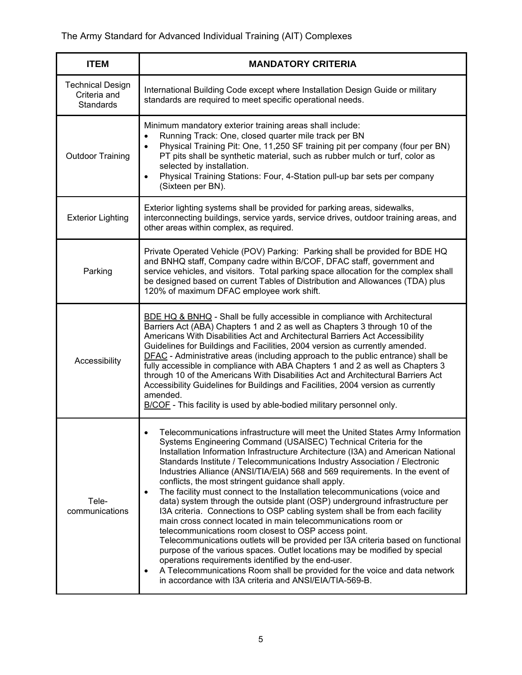| <b>ITEM</b>                                                 | <b>MANDATORY CRITERIA</b>                                                                                                                                                                                                                                                                                                                                                                                                                                                                                                                                                                                                                                                                                                                                                                                                                                                                                                                                                                                                                                                                                                                                                                                                     |
|-------------------------------------------------------------|-------------------------------------------------------------------------------------------------------------------------------------------------------------------------------------------------------------------------------------------------------------------------------------------------------------------------------------------------------------------------------------------------------------------------------------------------------------------------------------------------------------------------------------------------------------------------------------------------------------------------------------------------------------------------------------------------------------------------------------------------------------------------------------------------------------------------------------------------------------------------------------------------------------------------------------------------------------------------------------------------------------------------------------------------------------------------------------------------------------------------------------------------------------------------------------------------------------------------------|
| <b>Technical Design</b><br>Criteria and<br><b>Standards</b> | International Building Code except where Installation Design Guide or military<br>standards are required to meet specific operational needs.                                                                                                                                                                                                                                                                                                                                                                                                                                                                                                                                                                                                                                                                                                                                                                                                                                                                                                                                                                                                                                                                                  |
| <b>Outdoor Training</b>                                     | Minimum mandatory exterior training areas shall include:<br>Running Track: One, closed quarter mile track per BN<br>$\bullet$<br>Physical Training Pit: One, 11,250 SF training pit per company (four per BN)<br>$\bullet$<br>PT pits shall be synthetic material, such as rubber mulch or turf, color as<br>selected by installation.<br>Physical Training Stations: Four, 4-Station pull-up bar sets per company<br>$\bullet$<br>(Sixteen per BN).                                                                                                                                                                                                                                                                                                                                                                                                                                                                                                                                                                                                                                                                                                                                                                          |
| <b>Exterior Lighting</b>                                    | Exterior lighting systems shall be provided for parking areas, sidewalks,<br>interconnecting buildings, service yards, service drives, outdoor training areas, and<br>other areas within complex, as required.                                                                                                                                                                                                                                                                                                                                                                                                                                                                                                                                                                                                                                                                                                                                                                                                                                                                                                                                                                                                                |
| Parking                                                     | Private Operated Vehicle (POV) Parking: Parking shall be provided for BDE HQ<br>and BNHQ staff, Company cadre within B/COF, DFAC staff, government and<br>service vehicles, and visitors. Total parking space allocation for the complex shall<br>be designed based on current Tables of Distribution and Allowances (TDA) plus<br>120% of maximum DFAC employee work shift.                                                                                                                                                                                                                                                                                                                                                                                                                                                                                                                                                                                                                                                                                                                                                                                                                                                  |
| Accessibility                                               | BDE HQ & BNHQ - Shall be fully accessible in compliance with Architectural<br>Barriers Act (ABA) Chapters 1 and 2 as well as Chapters 3 through 10 of the<br>Americans With Disabilities Act and Architectural Barriers Act Accessibility<br>Guidelines for Buildings and Facilities, 2004 version as currently amended.<br>DFAC - Administrative areas (including approach to the public entrance) shall be<br>fully accessible in compliance with ABA Chapters 1 and 2 as well as Chapters 3<br>through 10 of the Americans With Disabilities Act and Architectural Barriers Act<br>Accessibility Guidelines for Buildings and Facilities, 2004 version as currently<br>amended.<br>B/COF - This facility is used by able-bodied military personnel only.                                                                                                                                                                                                                                                                                                                                                                                                                                                                   |
| Tele-<br>communications                                     | Telecommunications infrastructure will meet the United States Army Information<br>Systems Engineering Command (USAISEC) Technical Criteria for the<br>Installation Information Infrastructure Architecture (I3A) and American National<br>Standards Institute / Telecommunications Industry Association / Electronic<br>Industries Alliance (ANSI/TIA/EIA) 568 and 569 requirements. In the event of<br>conflicts, the most stringent guidance shall apply.<br>The facility must connect to the Installation telecommunications (voice and<br>$\bullet$<br>data) system through the outside plant (OSP) underground infrastructure per<br>I3A criteria. Connections to OSP cabling system shall be from each facility<br>main cross connect located in main telecommunications room or<br>telecommunications room closest to OSP access point.<br>Telecommunications outlets will be provided per I3A criteria based on functional<br>purpose of the various spaces. Outlet locations may be modified by special<br>operations requirements identified by the end-user.<br>A Telecommunications Room shall be provided for the voice and data network<br>$\bullet$<br>in accordance with I3A criteria and ANSI/EIA/TIA-569-B. |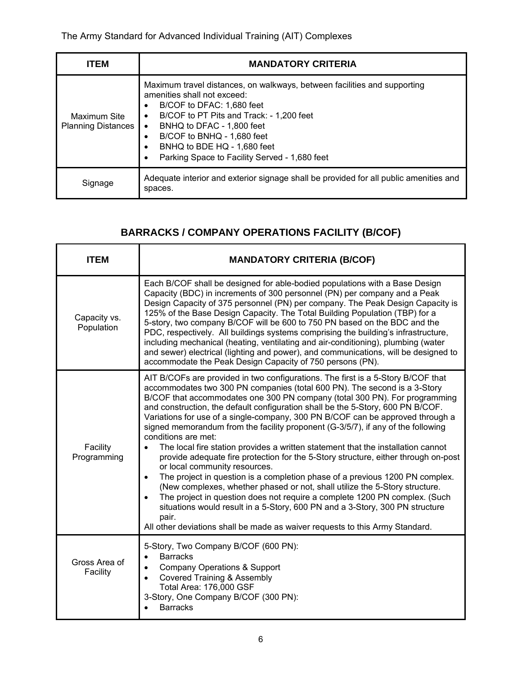| <b>ITEM</b>                               | <b>MANDATORY CRITERIA</b>                                                                                                                                                                                                                                                                                                                                                                                 |
|-------------------------------------------|-----------------------------------------------------------------------------------------------------------------------------------------------------------------------------------------------------------------------------------------------------------------------------------------------------------------------------------------------------------------------------------------------------------|
| Maximum Site<br><b>Planning Distances</b> | Maximum travel distances, on walkways, between facilities and supporting<br>amenities shall not exceed:<br>B/COF to DFAC: 1.680 feet<br>$\bullet$<br>B/COF to PT Pits and Track: - 1,200 feet<br>$\bullet$<br>BNHQ to DFAC - 1,800 feet<br>$\bullet$<br>B/COF to BNHQ - 1,680 feet<br>$\bullet$<br>BNHQ to BDE HQ - 1,680 feet<br>$\bullet$<br>Parking Space to Facility Served - 1,680 feet<br>$\bullet$ |
| Signage                                   | Adequate interior and exterior signage shall be provided for all public amenities and<br>spaces.                                                                                                                                                                                                                                                                                                          |

# **BARRACKS / COMPANY OPERATIONS FACILITY (B/COF)**

| <b>ITEM</b>                | <b>MANDATORY CRITERIA (B/COF)</b>                                                                                                                                                                                                                                                                                                                                                                                                                                                                                                                                                                                                                                                                                                                                                                                                                                                                                                                                                                                                                                                                                                                                                      |  |
|----------------------------|----------------------------------------------------------------------------------------------------------------------------------------------------------------------------------------------------------------------------------------------------------------------------------------------------------------------------------------------------------------------------------------------------------------------------------------------------------------------------------------------------------------------------------------------------------------------------------------------------------------------------------------------------------------------------------------------------------------------------------------------------------------------------------------------------------------------------------------------------------------------------------------------------------------------------------------------------------------------------------------------------------------------------------------------------------------------------------------------------------------------------------------------------------------------------------------|--|
| Capacity vs.<br>Population | Each B/COF shall be designed for able-bodied populations with a Base Design<br>Capacity (BDC) in increments of 300 personnel (PN) per company and a Peak<br>Design Capacity of 375 personnel (PN) per company. The Peak Design Capacity is<br>125% of the Base Design Capacity. The Total Building Population (TBP) for a<br>5-story, two company B/COF will be 600 to 750 PN based on the BDC and the<br>PDC, respectively. All buildings systems comprising the building's infrastructure,<br>including mechanical (heating, ventilating and air-conditioning), plumbing (water<br>and sewer) electrical (lighting and power), and communications, will be designed to<br>accommodate the Peak Design Capacity of 750 persons (PN).                                                                                                                                                                                                                                                                                                                                                                                                                                                  |  |
| Facility<br>Programming    | AIT B/COFs are provided in two configurations. The first is a 5-Story B/COF that<br>accommodates two 300 PN companies (total 600 PN). The second is a 3-Story<br>B/COF that accommodates one 300 PN company (total 300 PN). For programming<br>and construction, the default configuration shall be the 5-Story, 600 PN B/COF.<br>Variations for use of a single-company, 300 PN B/COF can be approved through a<br>signed memorandum from the facility proponent (G-3/5/7), if any of the following<br>conditions are met:<br>The local fire station provides a written statement that the installation cannot<br>provide adequate fire protection for the 5-Story structure, either through on-post<br>or local community resources.<br>The project in question is a completion phase of a previous 1200 PN complex.<br>$\bullet$<br>(New complexes, whether phased or not, shall utilize the 5-Story structure.<br>The project in question does not require a complete 1200 PN complex. (Such<br>$\bullet$<br>situations would result in a 5-Story, 600 PN and a 3-Story, 300 PN structure<br>pair.<br>All other deviations shall be made as waiver requests to this Army Standard. |  |
| Gross Area of<br>Facility  | 5-Story, Two Company B/COF (600 PN):<br><b>Barracks</b><br>$\bullet$<br>Company Operations & Support<br>$\bullet$<br><b>Covered Training &amp; Assembly</b><br>$\bullet$<br>Total Area: 176,000 GSF<br>3-Story, One Company B/COF (300 PN):<br><b>Barracks</b><br>$\bullet$                                                                                                                                                                                                                                                                                                                                                                                                                                                                                                                                                                                                                                                                                                                                                                                                                                                                                                            |  |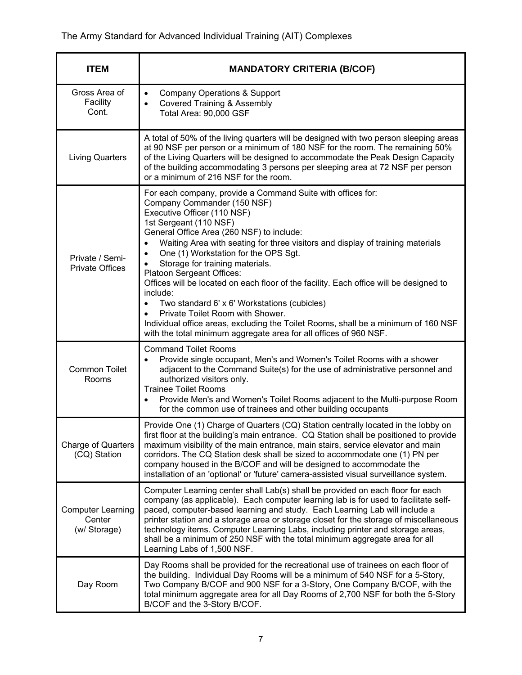| <b>ITEM</b>                                        | <b>MANDATORY CRITERIA (B/COF)</b>                                                                                                                                                                                                                                                                                                                                                                                                                                                                                                                                                                                                                                                                                                                                                      |  |
|----------------------------------------------------|----------------------------------------------------------------------------------------------------------------------------------------------------------------------------------------------------------------------------------------------------------------------------------------------------------------------------------------------------------------------------------------------------------------------------------------------------------------------------------------------------------------------------------------------------------------------------------------------------------------------------------------------------------------------------------------------------------------------------------------------------------------------------------------|--|
| Gross Area of<br>Facility<br>Cont.                 | <b>Company Operations &amp; Support</b><br>$\bullet$<br><b>Covered Training &amp; Assembly</b><br>$\bullet$<br>Total Area: 90,000 GSF                                                                                                                                                                                                                                                                                                                                                                                                                                                                                                                                                                                                                                                  |  |
| <b>Living Quarters</b>                             | A total of 50% of the living quarters will be designed with two person sleeping areas<br>at 90 NSF per person or a minimum of 180 NSF for the room. The remaining 50%<br>of the Living Quarters will be designed to accommodate the Peak Design Capacity<br>of the building accommodating 3 persons per sleeping area at 72 NSF per person<br>or a minimum of 216 NSF for the room.                                                                                                                                                                                                                                                                                                                                                                                                    |  |
| Private / Semi-<br><b>Private Offices</b>          | For each company, provide a Command Suite with offices for:<br>Company Commander (150 NSF)<br>Executive Officer (110 NSF)<br>1st Sergeant (110 NSF)<br>General Office Area (260 NSF) to include:<br>Waiting Area with seating for three visitors and display of training materials<br>One (1) Workstation for the OPS Sqt.<br>$\bullet$<br>Storage for training materials.<br>Platoon Sergeant Offices:<br>Offices will be located on each floor of the facility. Each office will be designed to<br>include:<br>Two standard 6' x 6' Workstations (cubicles)<br>$\bullet$<br>Private Toilet Room with Shower.<br>$\bullet$<br>Individual office areas, excluding the Toilet Rooms, shall be a minimum of 160 NSF<br>with the total minimum aggregate area for all offices of 960 NSF. |  |
| <b>Common Toilet</b><br>Rooms                      | <b>Command Toilet Rooms</b><br>Provide single occupant, Men's and Women's Toilet Rooms with a shower<br>$\bullet$<br>adjacent to the Command Suite(s) for the use of administrative personnel and<br>authorized visitors only.<br><b>Trainee Toilet Rooms</b><br>Provide Men's and Women's Toilet Rooms adjacent to the Multi-purpose Room<br>$\bullet$<br>for the common use of trainees and other building occupants                                                                                                                                                                                                                                                                                                                                                                 |  |
| <b>Charge of Quarters</b><br>(CQ) Station          | Provide One (1) Charge of Quarters (CQ) Station centrally located in the lobby on<br>first floor at the building's main entrance. CQ Station shall be positioned to provide<br>maximum visibility of the main entrance, main stairs, service elevator and main<br>corridors. The CQ Station desk shall be sized to accommodate one (1) PN per<br>company housed in the B/COF and will be designed to accommodate the<br>installation of an 'optional' or 'future' camera-assisted visual surveillance system.                                                                                                                                                                                                                                                                          |  |
| <b>Computer Learning</b><br>Center<br>(w/ Storage) | Computer Learning center shall Lab(s) shall be provided on each floor for each<br>company (as applicable). Each computer learning lab is for used to facilitate self-<br>paced, computer-based learning and study. Each Learning Lab will include a<br>printer station and a storage area or storage closet for the storage of miscellaneous<br>technology items. Computer Learning Labs, including printer and storage areas,<br>shall be a minimum of 250 NSF with the total minimum aggregate area for all<br>Learning Labs of 1,500 NSF.                                                                                                                                                                                                                                           |  |
| Day Room                                           | Day Rooms shall be provided for the recreational use of trainees on each floor of<br>the building. Individual Day Rooms will be a minimum of 540 NSF for a 5-Story,<br>Two Company B/COF and 900 NSF for a 3-Story, One Company B/COF, with the<br>total minimum aggregate area for all Day Rooms of 2,700 NSF for both the 5-Story<br>B/COF and the 3-Story B/COF.                                                                                                                                                                                                                                                                                                                                                                                                                    |  |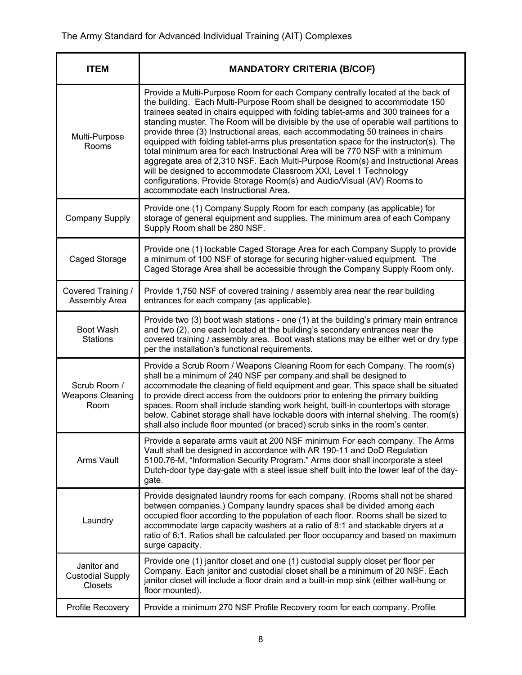| <b>ITEM</b>                                              | <b>MANDATORY CRITERIA (B/COF)</b>                                                                                                                                                                                                                                                                                                                                                                                                                                                                                                                                                                                                                                                                                                                                                                                                                                                 |  |
|----------------------------------------------------------|-----------------------------------------------------------------------------------------------------------------------------------------------------------------------------------------------------------------------------------------------------------------------------------------------------------------------------------------------------------------------------------------------------------------------------------------------------------------------------------------------------------------------------------------------------------------------------------------------------------------------------------------------------------------------------------------------------------------------------------------------------------------------------------------------------------------------------------------------------------------------------------|--|
| Multi-Purpose<br>Rooms                                   | Provide a Multi-Purpose Room for each Company centrally located at the back of<br>the building. Each Multi-Purpose Room shall be designed to accommodate 150<br>trainees seated in chairs equipped with folding tablet-arms and 300 trainees for a<br>standing muster. The Room will be divisible by the use of operable wall partitions to<br>provide three (3) Instructional areas, each accommodating 50 trainees in chairs<br>equipped with folding tablet-arms plus presentation space for the instructor(s). The<br>total minimum area for each Instructional Area will be 770 NSF with a minimum<br>aggregate area of 2,310 NSF. Each Multi-Purpose Room(s) and Instructional Areas<br>will be designed to accommodate Classroom XXI, Level 1 Technology<br>configurations. Provide Storage Room(s) and Audio/Visual (AV) Rooms to<br>accommodate each Instructional Area. |  |
| Company Supply                                           | Provide one (1) Company Supply Room for each company (as applicable) for<br>storage of general equipment and supplies. The minimum area of each Company<br>Supply Room shall be 280 NSF.                                                                                                                                                                                                                                                                                                                                                                                                                                                                                                                                                                                                                                                                                          |  |
| Caged Storage                                            | Provide one (1) lockable Caged Storage Area for each Company Supply to provide<br>a minimum of 100 NSF of storage for securing higher-valued equipment. The<br>Caged Storage Area shall be accessible through the Company Supply Room only.                                                                                                                                                                                                                                                                                                                                                                                                                                                                                                                                                                                                                                       |  |
| Covered Training /<br>Assembly Area                      | Provide 1,750 NSF of covered training / assembly area near the rear building<br>entrances for each company (as applicable).                                                                                                                                                                                                                                                                                                                                                                                                                                                                                                                                                                                                                                                                                                                                                       |  |
| Boot Wash<br><b>Stations</b>                             | Provide two (3) boot wash stations - one (1) at the building's primary main entrance<br>and two (2), one each located at the building's secondary entrances near the<br>covered training / assembly area. Boot wash stations may be either wet or dry type<br>per the installation's functional requirements.                                                                                                                                                                                                                                                                                                                                                                                                                                                                                                                                                                     |  |
| Scrub Room /<br><b>Weapons Cleaning</b><br>Room          | Provide a Scrub Room / Weapons Cleaning Room for each Company. The room(s)<br>shall be a minimum of 240 NSF per company and shall be designed to<br>accommodate the cleaning of field equipment and gear. This space shall be situated<br>to provide direct access from the outdoors prior to entering the primary building<br>spaces. Room shall include standing work height, built-in countertops with storage<br>below. Cabinet storage shall have lockable doors with internal shelving. The room(s)<br>shall also include floor mounted (or braced) scrub sinks in the room's center.                                                                                                                                                                                                                                                                                       |  |
| Arms Vault                                               | Provide a separate arms vault at 200 NSF minimum For each company. The Arms<br>Vault shall be designed in accordance with AR 190-11 and DoD Regulation<br>5100.76-M, "Information Security Program." Arms door shall incorporate a steel<br>Dutch-door type day-gate with a steel issue shelf built into the lower leaf of the day-<br>gate.                                                                                                                                                                                                                                                                                                                                                                                                                                                                                                                                      |  |
| Laundry                                                  | Provide designated laundry rooms for each company. (Rooms shall not be shared<br>between companies.) Company laundry spaces shall be divided among each<br>occupied floor according to the population of each floor. Rooms shall be sized to<br>accommodate large capacity washers at a ratio of 8:1 and stackable dryers at a<br>ratio of 6:1. Ratios shall be calculated per floor occupancy and based on maximum<br>surge capacity.                                                                                                                                                                                                                                                                                                                                                                                                                                            |  |
| Janitor and<br><b>Custodial Supply</b><br><b>Closets</b> | Provide one (1) janitor closet and one (1) custodial supply closet per floor per<br>Company. Each janitor and custodial closet shall be a minimum of 20 NSF. Each<br>janitor closet will include a floor drain and a built-in mop sink (either wall-hung or<br>floor mounted).                                                                                                                                                                                                                                                                                                                                                                                                                                                                                                                                                                                                    |  |
| Profile Recovery                                         | Provide a minimum 270 NSF Profile Recovery room for each company. Profile                                                                                                                                                                                                                                                                                                                                                                                                                                                                                                                                                                                                                                                                                                                                                                                                         |  |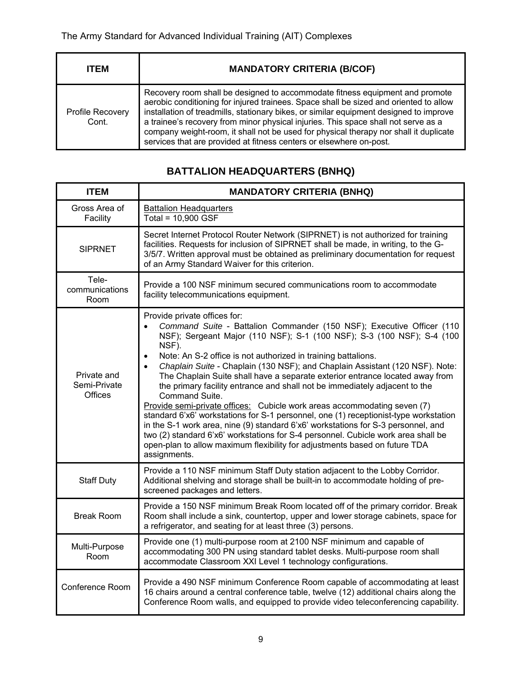| <b>ITEM</b>                      | <b>MANDATORY CRITERIA (B/COF)</b>                                                                                                                                                                                                                                                                                                                                                                                                                                                                                     |
|----------------------------------|-----------------------------------------------------------------------------------------------------------------------------------------------------------------------------------------------------------------------------------------------------------------------------------------------------------------------------------------------------------------------------------------------------------------------------------------------------------------------------------------------------------------------|
| <b>Profile Recovery</b><br>Cont. | Recovery room shall be designed to accommodate fitness equipment and promote<br>aerobic conditioning for injured trainees. Space shall be sized and oriented to allow<br>installation of treadmills, stationary bikes, or similar equipment designed to improve<br>a trainee's recovery from minor physical injuries. This space shall not serve as a<br>company weight-room, it shall not be used for physical therapy nor shall it duplicate<br>services that are provided at fitness centers or elsewhere on-post. |

# **BATTALION HEADQUARTERS (BNHQ)**

| <b>ITEM</b>                            | <b>MANDATORY CRITERIA (BNHQ)</b>                                                                                                                                                                                                                                                                                                                                                                                                                                                                                                                                                                                                                                                                                                                                                                                                                                                                                                                                                                             |  |  |
|----------------------------------------|--------------------------------------------------------------------------------------------------------------------------------------------------------------------------------------------------------------------------------------------------------------------------------------------------------------------------------------------------------------------------------------------------------------------------------------------------------------------------------------------------------------------------------------------------------------------------------------------------------------------------------------------------------------------------------------------------------------------------------------------------------------------------------------------------------------------------------------------------------------------------------------------------------------------------------------------------------------------------------------------------------------|--|--|
| Gross Area of<br>Facility              | <b>Battalion Headquarters</b><br>Total = 10,900 GSF                                                                                                                                                                                                                                                                                                                                                                                                                                                                                                                                                                                                                                                                                                                                                                                                                                                                                                                                                          |  |  |
| <b>SIPRNET</b>                         | Secret Internet Protocol Router Network (SIPRNET) is not authorized for training<br>facilities. Requests for inclusion of SIPRNET shall be made, in writing, to the G-<br>3/5/7. Written approval must be obtained as preliminary documentation for request<br>of an Army Standard Waiver for this criterion.                                                                                                                                                                                                                                                                                                                                                                                                                                                                                                                                                                                                                                                                                                |  |  |
| Tele-<br>communications<br>Room        | Provide a 100 NSF minimum secured communications room to accommodate<br>facility telecommunications equipment.                                                                                                                                                                                                                                                                                                                                                                                                                                                                                                                                                                                                                                                                                                                                                                                                                                                                                               |  |  |
| Private and<br>Semi-Private<br>Offices | Provide private offices for:<br>Command Suite - Battalion Commander (150 NSF); Executive Officer (110<br>$\bullet$<br>NSF); Sergeant Major (110 NSF); S-1 (100 NSF); S-3 (100 NSF); S-4 (100<br>NSF).<br>Note: An S-2 office is not authorized in training battalions.<br>$\bullet$<br>Chaplain Suite - Chaplain (130 NSF); and Chaplain Assistant (120 NSF). Note:<br>$\bullet$<br>The Chaplain Suite shall have a separate exterior entrance located away from<br>the primary facility entrance and shall not be immediately adjacent to the<br>Command Suite.<br>Provide semi-private offices: Cubicle work areas accommodating seven (7)<br>standard 6'x6' workstations for S-1 personnel, one (1) receptionist-type workstation<br>in the S-1 work area, nine (9) standard 6'x6' workstations for S-3 personnel, and<br>two (2) standard 6'x6' workstations for S-4 personnel. Cubicle work area shall be<br>open-plan to allow maximum flexibility for adjustments based on future TDA<br>assignments. |  |  |
| <b>Staff Duty</b>                      | Provide a 110 NSF minimum Staff Duty station adjacent to the Lobby Corridor.<br>Additional shelving and storage shall be built-in to accommodate holding of pre-<br>screened packages and letters.                                                                                                                                                                                                                                                                                                                                                                                                                                                                                                                                                                                                                                                                                                                                                                                                           |  |  |
| <b>Break Room</b>                      | Provide a 150 NSF minimum Break Room located off of the primary corridor. Break<br>Room shall include a sink, countertop, upper and lower storage cabinets, space for<br>a refrigerator, and seating for at least three (3) persons.                                                                                                                                                                                                                                                                                                                                                                                                                                                                                                                                                                                                                                                                                                                                                                         |  |  |
| Multi-Purpose<br>Room                  | Provide one (1) multi-purpose room at 2100 NSF minimum and capable of<br>accommodating 300 PN using standard tablet desks. Multi-purpose room shall<br>accommodate Classroom XXI Level 1 technology configurations.                                                                                                                                                                                                                                                                                                                                                                                                                                                                                                                                                                                                                                                                                                                                                                                          |  |  |
| Conference Room                        | Provide a 490 NSF minimum Conference Room capable of accommodating at least<br>16 chairs around a central conference table, twelve (12) additional chairs along the<br>Conference Room walls, and equipped to provide video teleconferencing capability.                                                                                                                                                                                                                                                                                                                                                                                                                                                                                                                                                                                                                                                                                                                                                     |  |  |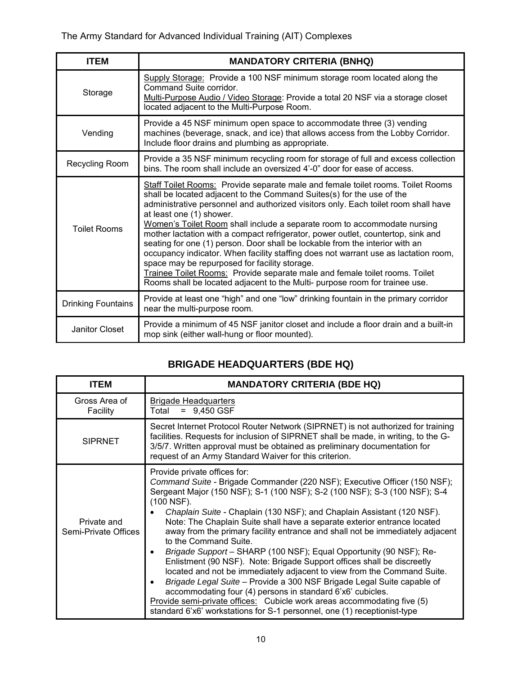| <b>ITEM</b>               | <b>MANDATORY CRITERIA (BNHQ)</b>                                                                                                                                                                                                                                                                                                                                                                                                                                                                                                                                                                                                                                                                                                                                                                                                 |  |  |
|---------------------------|----------------------------------------------------------------------------------------------------------------------------------------------------------------------------------------------------------------------------------------------------------------------------------------------------------------------------------------------------------------------------------------------------------------------------------------------------------------------------------------------------------------------------------------------------------------------------------------------------------------------------------------------------------------------------------------------------------------------------------------------------------------------------------------------------------------------------------|--|--|
| Storage                   | Supply Storage: Provide a 100 NSF minimum storage room located along the<br>Command Suite corridor.<br>Multi-Purpose Audio / Video Storage: Provide a total 20 NSF via a storage closet<br>located adjacent to the Multi-Purpose Room.                                                                                                                                                                                                                                                                                                                                                                                                                                                                                                                                                                                           |  |  |
| Vending                   | Provide a 45 NSF minimum open space to accommodate three (3) vending<br>machines (beverage, snack, and ice) that allows access from the Lobby Corridor.<br>Include floor drains and plumbing as appropriate.                                                                                                                                                                                                                                                                                                                                                                                                                                                                                                                                                                                                                     |  |  |
| Recycling Room            | Provide a 35 NSF minimum recycling room for storage of full and excess collection<br>bins. The room shall include an oversized 4'-0" door for ease of access.                                                                                                                                                                                                                                                                                                                                                                                                                                                                                                                                                                                                                                                                    |  |  |
| <b>Toilet Rooms</b>       | Staff Toilet Rooms: Provide separate male and female toilet rooms. Toilet Rooms<br>shall be located adjacent to the Command Suites(s) for the use of the<br>administrative personnel and authorized visitors only. Each toilet room shall have<br>at least one (1) shower.<br>Women's Toilet Room shall include a separate room to accommodate nursing<br>mother lactation with a compact refrigerator, power outlet, countertop, sink and<br>seating for one (1) person. Door shall be lockable from the interior with an<br>occupancy indicator. When facility staffing does not warrant use as lactation room,<br>space may be repurposed for facility storage.<br>Trainee Toilet Rooms: Provide separate male and female toilet rooms. Toilet<br>Rooms shall be located adjacent to the Multi- purpose room for trainee use. |  |  |
| <b>Drinking Fountains</b> | Provide at least one "high" and one "low" drinking fountain in the primary corridor<br>near the multi-purpose room.                                                                                                                                                                                                                                                                                                                                                                                                                                                                                                                                                                                                                                                                                                              |  |  |
| Janitor Closet            | Provide a minimum of 45 NSF janitor closet and include a floor drain and a built-in<br>mop sink (either wall-hung or floor mounted).                                                                                                                                                                                                                                                                                                                                                                                                                                                                                                                                                                                                                                                                                             |  |  |

# **BRIGADE HEADQUARTERS (BDE HQ)**

| <b>ITEM</b>                         | <b>MANDATORY CRITERIA (BDE HQ)</b>                                                                                                                                                                                                                                                                                                                                                                                                                                                                                                                                                                                                                                                                                                                                                                                                                                                                                                                                                              |  |  |
|-------------------------------------|-------------------------------------------------------------------------------------------------------------------------------------------------------------------------------------------------------------------------------------------------------------------------------------------------------------------------------------------------------------------------------------------------------------------------------------------------------------------------------------------------------------------------------------------------------------------------------------------------------------------------------------------------------------------------------------------------------------------------------------------------------------------------------------------------------------------------------------------------------------------------------------------------------------------------------------------------------------------------------------------------|--|--|
| Gross Area of<br>Facility           | <b>Brigade Headquarters</b><br>$= 9,450$ GSF<br>Total                                                                                                                                                                                                                                                                                                                                                                                                                                                                                                                                                                                                                                                                                                                                                                                                                                                                                                                                           |  |  |
| <b>SIPRNET</b>                      | Secret Internet Protocol Router Network (SIPRNET) is not authorized for training<br>facilities. Requests for inclusion of SIPRNET shall be made, in writing, to the G-<br>3/5/7. Written approval must be obtained as preliminary documentation for<br>request of an Army Standard Waiver for this criterion.                                                                                                                                                                                                                                                                                                                                                                                                                                                                                                                                                                                                                                                                                   |  |  |
| Private and<br>Semi-Private Offices | Provide private offices for:<br>Command Suite - Brigade Commander (220 NSF); Executive Officer (150 NSF);<br>Sergeant Major (150 NSF); S-1 (100 NSF); S-2 (100 NSF); S-3 (100 NSF); S-4<br>(100 NSF).<br>Chaplain Suite - Chaplain (130 NSF); and Chaplain Assistant (120 NSF).<br>Note: The Chaplain Suite shall have a separate exterior entrance located<br>away from the primary facility entrance and shall not be immediately adjacent<br>to the Command Suite.<br>Brigade Support - SHARP (100 NSF); Equal Opportunity (90 NSF); Re-<br>Enlistment (90 NSF). Note: Brigade Support offices shall be discreetly<br>located and not be immediately adjacent to view from the Command Suite.<br>Brigade Legal Suite - Provide a 300 NSF Brigade Legal Suite capable of<br>accommodating four (4) persons in standard 6'x6' cubicles.<br>Provide semi-private offices: Cubicle work areas accommodating five (5)<br>standard 6'x6' workstations for S-1 personnel, one (1) receptionist-type |  |  |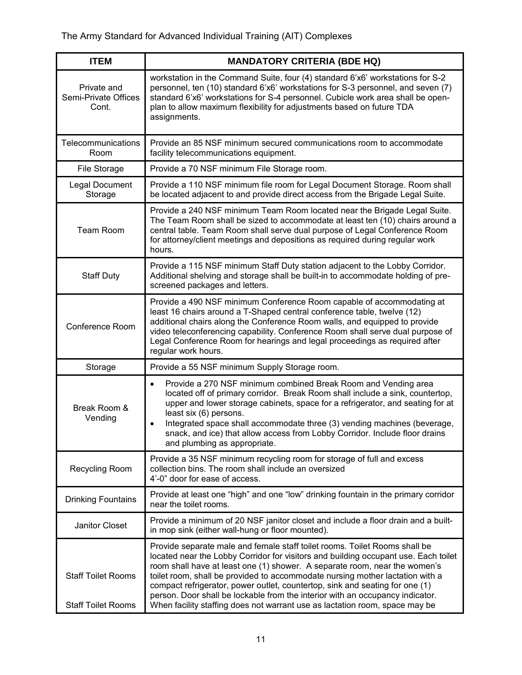| <b>ITEM</b>                                            | <b>MANDATORY CRITERIA (BDE HQ)</b>                                                                                                                                                                                                                                                                                                                                                                                                                                                                                                                                               |  |
|--------------------------------------------------------|----------------------------------------------------------------------------------------------------------------------------------------------------------------------------------------------------------------------------------------------------------------------------------------------------------------------------------------------------------------------------------------------------------------------------------------------------------------------------------------------------------------------------------------------------------------------------------|--|
| Private and<br>Semi-Private Offices<br>Cont.           | workstation in the Command Suite, four (4) standard 6'x6' workstations for S-2<br>personnel, ten (10) standard 6'x6' workstations for S-3 personnel, and seven (7)<br>standard 6'x6' workstations for S-4 personnel. Cubicle work area shall be open-<br>plan to allow maximum flexibility for adjustments based on future TDA<br>assignments.                                                                                                                                                                                                                                   |  |
| Telecommunications<br>Room                             | Provide an 85 NSF minimum secured communications room to accommodate<br>facility telecommunications equipment.                                                                                                                                                                                                                                                                                                                                                                                                                                                                   |  |
| File Storage                                           | Provide a 70 NSF minimum File Storage room.                                                                                                                                                                                                                                                                                                                                                                                                                                                                                                                                      |  |
| Legal Document<br>Storage                              | Provide a 110 NSF minimum file room for Legal Document Storage. Room shall<br>be located adjacent to and provide direct access from the Brigade Legal Suite.                                                                                                                                                                                                                                                                                                                                                                                                                     |  |
| <b>Team Room</b>                                       | Provide a 240 NSF minimum Team Room located near the Brigade Legal Suite.<br>The Team Room shall be sized to accommodate at least ten (10) chairs around a<br>central table. Team Room shall serve dual purpose of Legal Conference Room<br>for attorney/client meetings and depositions as required during regular work<br>hours.                                                                                                                                                                                                                                               |  |
| <b>Staff Duty</b>                                      | Provide a 115 NSF minimum Staff Duty station adjacent to the Lobby Corridor.<br>Additional shelving and storage shall be built-in to accommodate holding of pre-<br>screened packages and letters.                                                                                                                                                                                                                                                                                                                                                                               |  |
| Conference Room                                        | Provide a 490 NSF minimum Conference Room capable of accommodating at<br>least 16 chairs around a T-Shaped central conference table, twelve (12)<br>additional chairs along the Conference Room walls, and equipped to provide<br>video teleconferencing capability. Conference Room shall serve dual purpose of<br>Legal Conference Room for hearings and legal proceedings as required after<br>regular work hours.                                                                                                                                                            |  |
| Storage                                                | Provide a 55 NSF minimum Supply Storage room.                                                                                                                                                                                                                                                                                                                                                                                                                                                                                                                                    |  |
| Break Room &<br>Vending                                | Provide a 270 NSF minimum combined Break Room and Vending area<br>$\bullet$<br>located off of primary corridor. Break Room shall include a sink, countertop,<br>upper and lower storage cabinets, space for a refrigerator, and seating for at<br>least six (6) persons.<br>Integrated space shall accommodate three (3) vending machines (beverage,<br>$\bullet$<br>snack, and ice) that allow access from Lobby Corridor. Include floor drains<br>and plumbing as appropriate.                                                                                                 |  |
| Recycling Room                                         | Provide a 35 NSF minimum recycling room for storage of full and excess<br>collection bins. The room shall include an oversized<br>4'-0" door for ease of access.                                                                                                                                                                                                                                                                                                                                                                                                                 |  |
| <b>Drinking Fountains</b>                              | Provide at least one "high" and one "low" drinking fountain in the primary corridor<br>near the toilet rooms.                                                                                                                                                                                                                                                                                                                                                                                                                                                                    |  |
| Janitor Closet                                         | Provide a minimum of 20 NSF janitor closet and include a floor drain and a built-<br>in mop sink (either wall-hung or floor mounted).                                                                                                                                                                                                                                                                                                                                                                                                                                            |  |
| <b>Staff Toilet Rooms</b><br><b>Staff Toilet Rooms</b> | Provide separate male and female staff toilet rooms. Toilet Rooms shall be<br>located near the Lobby Corridor for visitors and building occupant use. Each toilet<br>room shall have at least one (1) shower. A separate room, near the women's<br>toilet room, shall be provided to accommodate nursing mother lactation with a<br>compact refrigerator, power outlet, countertop, sink and seating for one (1)<br>person. Door shall be lockable from the interior with an occupancy indicator.<br>When facility staffing does not warrant use as lactation room, space may be |  |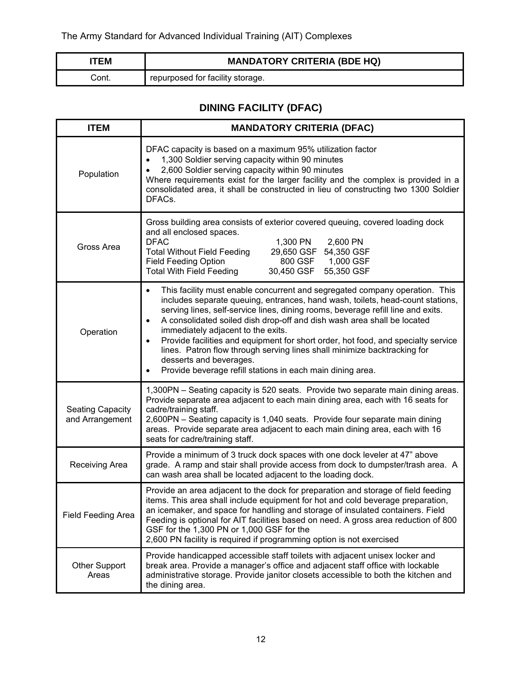| TEM  | <b>MANDATORY CRITERIA (BDE HQ)</b> |
|------|------------------------------------|
| วont | repurposed for facility storage.   |

# **DINING FACILITY (DFAC)**

| <b>ITEM</b>                                | <b>MANDATORY CRITERIA (DFAC)</b>                                                                                                                                                                                                                                                                                                                                                                                                                                                                                                                                                                                                          |  |
|--------------------------------------------|-------------------------------------------------------------------------------------------------------------------------------------------------------------------------------------------------------------------------------------------------------------------------------------------------------------------------------------------------------------------------------------------------------------------------------------------------------------------------------------------------------------------------------------------------------------------------------------------------------------------------------------------|--|
| Population                                 | DFAC capacity is based on a maximum 95% utilization factor<br>1,300 Soldier serving capacity within 90 minutes<br>2,600 Soldier serving capacity within 90 minutes<br>Where requirements exist for the larger facility and the complex is provided in a<br>consolidated area, it shall be constructed in lieu of constructing two 1300 Soldier<br>DFACs.                                                                                                                                                                                                                                                                                  |  |
| Gross Area                                 | Gross building area consists of exterior covered queuing, covered loading dock<br>and all enclosed spaces.<br><b>DFAC</b><br>1,300 PN<br>2,600 PN<br>29,650 GSF 54,350 GSF<br><b>Total Without Field Feeding</b><br><b>Field Feeding Option</b><br>800 GSF<br>1,000 GSF<br><b>Total With Field Feeding</b><br>30,450 GSF<br>55,350 GSF                                                                                                                                                                                                                                                                                                    |  |
| Operation                                  | This facility must enable concurrent and segregated company operation. This<br>$\bullet$<br>includes separate queuing, entrances, hand wash, toilets, head-count stations,<br>serving lines, self-service lines, dining rooms, beverage refill line and exits.<br>A consolidated soiled dish drop-off and dish wash area shall be located<br>immediately adjacent to the exits.<br>Provide facilities and equipment for short order, hot food, and specialty service<br>lines. Patron flow through serving lines shall minimize backtracking for<br>desserts and beverages.<br>Provide beverage refill stations in each main dining area. |  |
| <b>Seating Capacity</b><br>and Arrangement | 1,300PN - Seating capacity is 520 seats. Provide two separate main dining areas.<br>Provide separate area adjacent to each main dining area, each with 16 seats for<br>cadre/training staff.<br>2,600PN - Seating capacity is 1,040 seats. Provide four separate main dining<br>areas. Provide separate area adjacent to each main dining area, each with 16<br>seats for cadre/training staff.                                                                                                                                                                                                                                           |  |
| Receiving Area                             | Provide a minimum of 3 truck dock spaces with one dock leveler at 47" above<br>grade. A ramp and stair shall provide access from dock to dumpster/trash area. A<br>can wash area shall be located adjacent to the loading dock.                                                                                                                                                                                                                                                                                                                                                                                                           |  |
| Field Feeding Area                         | Provide an area adjacent to the dock for preparation and storage of field feeding<br>items. This area shall include equipment for hot and cold beverage preparation,<br>an icemaker, and space for handling and storage of insulated containers. Field<br>Feeding is optional for AIT facilities based on need. A gross area reduction of 800<br>GSF for the 1,300 PN or 1,000 GSF for the<br>2,600 PN facility is required if programming option is not exercised                                                                                                                                                                        |  |
| <b>Other Support</b><br>Areas              | Provide handicapped accessible staff toilets with adjacent unisex locker and<br>break area. Provide a manager's office and adjacent staff office with lockable<br>administrative storage. Provide janitor closets accessible to both the kitchen and<br>the dining area.                                                                                                                                                                                                                                                                                                                                                                  |  |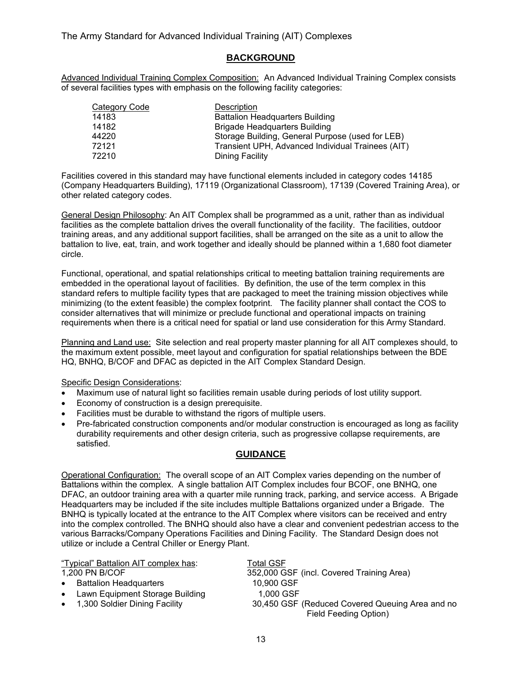### **BACKGROUND**

Advanced Individual Training Complex Composition: An Advanced Individual Training Complex consists of several facilities types with emphasis on the following facility categories:

| Category Code | Description                                       |
|---------------|---------------------------------------------------|
| 14183         | <b>Battalion Headquarters Building</b>            |
| 14182         | <b>Brigade Headquarters Building</b>              |
| 44220         | Storage Building, General Purpose (used for LEB)  |
| 72121         | Transient UPH, Advanced Individual Trainees (AIT) |
| 72210         | Dining Facility                                   |

Facilities covered in this standard may have functional elements included in category codes 14185 (Company Headquarters Building), 17119 (Organizational Classroom), 17139 (Covered Training Area), or other related category codes.

General Design Philosophy: An AIT Complex shall be programmed as a unit, rather than as individual facilities as the complete battalion drives the overall functionality of the facility. The facilities, outdoor training areas, and any additional support facilities, shall be arranged on the site as a unit to allow the battalion to live, eat, train, and work together and ideally should be planned within a 1,680 foot diameter circle.

Functional, operational, and spatial relationships critical to meeting battalion training requirements are embedded in the operational layout of facilities. By definition, the use of the term complex in this standard refers to multiple facility types that are packaged to meet the training mission objectives while minimizing (to the extent feasible) the complex footprint. The facility planner shall contact the COS to consider alternatives that will minimize or preclude functional and operational impacts on training requirements when there is a critical need for spatial or land use consideration for this Army Standard.

Planning and Land use: Site selection and real property master planning for all AIT complexes should, to the maximum extent possible, meet layout and configuration for spatial relationships between the BDE HQ, BNHQ, B/COF and DFAC as depicted in the AIT Complex Standard Design.

Specific Design Considerations:

- Maximum use of natural light so facilities remain usable during periods of lost utility support.
- Economy of construction is a design prerequisite.
- Facilities must be durable to withstand the rigors of multiple users.
- Pre-fabricated construction components and/or modular construction is encouraged as long as facility durability requirements and other design criteria, such as progressive collapse requirements, are satisfied.

#### **GUIDANCE**

Operational Configuration: The overall scope of an AIT Complex varies depending on the number of Battalions within the complex. A single battalion AIT Complex includes four BCOF, one BNHQ, one DFAC, an outdoor training area with a quarter mile running track, parking, and service access. A Brigade Headquarters may be included if the site includes multiple Battalions organized under a Brigade. The BNHQ is typically located at the entrance to the AIT Complex where visitors can be received and entry into the complex controlled. The BNHQ should also have a clear and convenient pedestrian access to the various Barracks/Company Operations Facilities and Dining Facility. The Standard Design does not utilize or include a Central Chiller or Energy Plant.

| "Typical" Battalion AIT complex has:                                                                                          | Total GSF                                                                                           |
|-------------------------------------------------------------------------------------------------------------------------------|-----------------------------------------------------------------------------------------------------|
| 1,200 PN B/COF                                                                                                                | 352,000 GSF (incl. Covered Training Area)                                                           |
| <b>Battalion Headquarters</b><br>$\bullet$<br>Lawn Equipment Storage Building<br>$\bullet$<br>• 1,300 Soldier Dining Facility | 10,900 GSF<br>1,000 GSF<br>30,450 GSF (Reduced Covered Queuing Area and no<br>Field Feeding Option) |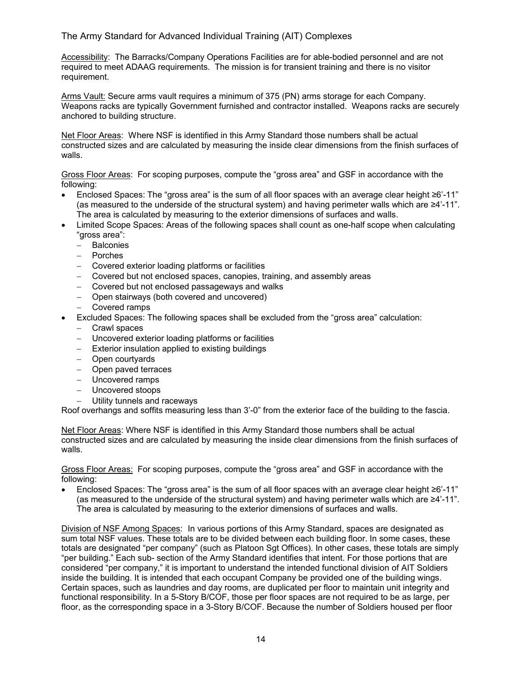Accessibility: The Barracks/Company Operations Facilities are for able-bodied personnel and are not required to meet ADAAG requirements. The mission is for transient training and there is no visitor requirement.

Arms Vault: Secure arms vault requires a minimum of 375 (PN) arms storage for each Company. Weapons racks are typically Government furnished and contractor installed. Weapons racks are securely anchored to building structure.

Net Floor Areas: Where NSF is identified in this Army Standard those numbers shall be actual constructed sizes and are calculated by measuring the inside clear dimensions from the finish surfaces of walls.

Gross Floor Areas: For scoping purposes, compute the "gross area" and GSF in accordance with the following:

- Enclosed Spaces: The "gross area" is the sum of all floor spaces with an average clear height ≥6'-11" (as measured to the underside of the structural system) and having perimeter walls which are  $\geq 4'$ -11". The area is calculated by measuring to the exterior dimensions of surfaces and walls.
- Limited Scope Spaces: Areas of the following spaces shall count as one-half scope when calculating "gross area":
	- Balconies
	- Porches
	- Covered exterior loading platforms or facilities
	- Covered but not enclosed spaces, canopies, training, and assembly areas
	- Covered but not enclosed passageways and walks
	- Open stairways (both covered and uncovered)
	- Covered ramps
- Excluded Spaces: The following spaces shall be excluded from the "gross area" calculation:
	- Crawl spaces
	- Uncovered exterior loading platforms or facilities
	- $-$  Exterior insulation applied to existing buildings
	- Open courtyards
	- Open paved terraces
	- Uncovered ramps
	- Uncovered stoops
	- Utility tunnels and raceways

Roof overhangs and soffits measuring less than 3'-0" from the exterior face of the building to the fascia.

Net Floor Areas: Where NSF is identified in this Army Standard those numbers shall be actual constructed sizes and are calculated by measuring the inside clear dimensions from the finish surfaces of walls.

Gross Floor Areas: For scoping purposes, compute the "gross area" and GSF in accordance with the following:

 Enclosed Spaces: The "gross area" is the sum of all floor spaces with an average clear height ≥6'-11" (as measured to the underside of the structural system) and having perimeter walls which are ≥4'-11". The area is calculated by measuring to the exterior dimensions of surfaces and walls.

Division of NSF Among Spaces: In various portions of this Army Standard, spaces are designated as sum total NSF values. These totals are to be divided between each building floor. In some cases, these totals are designated "per company" (such as Platoon Sgt Offices). In other cases, these totals are simply "per building." Each sub- section of the Army Standard identifies that intent. For those portions that are considered "per company," it is important to understand the intended functional division of AIT Soldiers inside the building. It is intended that each occupant Company be provided one of the building wings. Certain spaces, such as laundries and day rooms, are duplicated per floor to maintain unit integrity and functional responsibility. In a 5-Story B/COF, those per floor spaces are not required to be as large, per floor, as the corresponding space in a 3-Story B/COF. Because the number of Soldiers housed per floor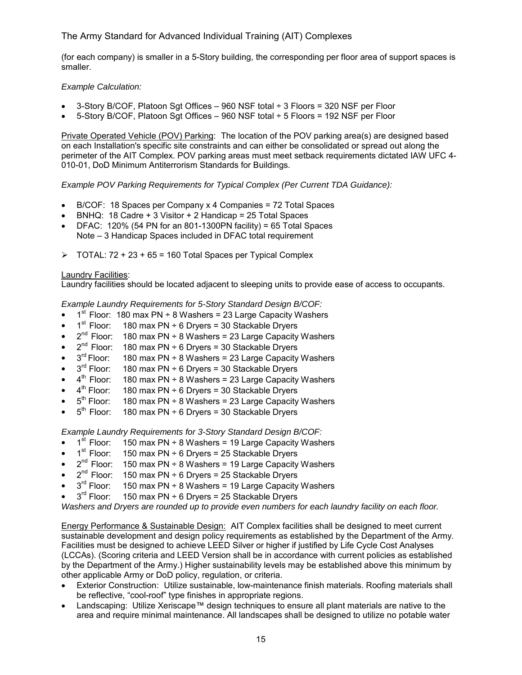(for each company) is smaller in a 5-Story building, the corresponding per floor area of support spaces is smaller.

#### *Example Calculation:*

- 3-Story B/COF, Platoon Sgt Offices 960 NSF total ÷ 3 Floors = 320 NSF per Floor
- 5-Story B/COF, Platoon Sgt Offices 960 NSF total ÷ 5 Floors = 192 NSF per Floor

Private Operated Vehicle (POV) Parking: The location of the POV parking area(s) are designed based on each Installation's specific site constraints and can either be consolidated or spread out along the perimeter of the AIT Complex. POV parking areas must meet setback requirements dictated IAW UFC 4- 010-01, DoD Minimum Antiterrorism Standards for Buildings.

*Example POV Parking Requirements for Typical Complex (Per Current TDA Guidance):*

- B/COF: 18 Spaces per Company x 4 Companies = 72 Total Spaces
- BNHQ: 18 Cadre + 3 Visitor + 2 Handicap = 25 Total Spaces
- DFAC: 120% (54 PN for an 801-1300PN facility) = 65 Total Spaces Note – 3 Handicap Spaces included in DFAC total requirement
- $\triangleright$  TOTAL: 72 + 23 + 65 = 160 Total Spaces per Typical Complex

#### Laundry Facilities:

Laundry facilities should be located adjacent to sleeping units to provide ease of access to occupants.

*Example Laundry Requirements for 5-Story Standard Design B/COF:*

- $1<sup>st</sup>$  Floor: 180 max PN ÷ 8 Washers = 23 Large Capacity Washers
- $1<sup>st</sup>$  Floor: 180 max PN  $\div$  6 Dryers = 30 Stackable Dryers
- $2^{nd}$  Floor: 180 max PN ÷ 8 Washers = 23 Large Capacity Washers
- $2^{nd}$  Floor: 180 max PN ÷ 6 Dryers = 30 Stackable Dryers
- $3<sup>rd</sup>$  Floor: 180 max PN ÷ 8 Washers = 23 Large Capacity Washers
- $3<sup>rd</sup>$  Floor: 180 max PN ÷ 6 Dryers = 30 Stackable Dryers  $4<sup>th</sup>$  Floor: 180 max PN ÷ 8 Washers = 23 Large Capacity
- 180 max  $PN \div 8$  Washers = 23 Large Capacity Washers
- $4<sup>th</sup>$  Floor: 180 max PN  $\div$  6 Dryers = 30 Stackable Dryers
- $5<sup>th</sup>$  Floor: 180 max PN ÷ 8 Washers = 23 Large Capacity Washers
- $5<sup>th</sup>$  Floor: 180 max PN  $\div$  6 Dryers = 30 Stackable Dryers

*Example Laundry Requirements for 3-Story Standard Design B/COF:*

- $\bullet$  1<sup>st</sup> Floor: 150 max PN ÷ 8 Washers = 19 Large Capacity Washers
- $1<sup>st</sup>$  Floor: 150 max PN ÷ 6 Dryers = 25 Stackable Dryers
- $2^{nd}$  Floor: 150 max PN ÷ 8 Washers = 19 Large Capacity Washers
- $2^{nd}$  Floor: 150 max PN ÷ 6 Dryers = 25 Stackable Dryers  $3^{rd}$  Floor: 150 max PN ÷ 8 Washers = 19 Large Capacity
- 150 max  $PN \div 8$  Washers = 19 Large Capacity Washers
- $3<sup>rd</sup>$  Floor: 150 max PN ÷ 6 Dryers = 25 Stackable Dryers

*Washers and Dryers are rounded up to provide even numbers for each laundry facility on each floor.* 

Energy Performance & Sustainable Design: AIT Complex facilities shall be designed to meet current sustainable development and design policy requirements as established by the Department of the Army. Facilities must be designed to achieve LEED Silver or higher if justified by Life Cycle Cost Analyses (LCCAs). (Scoring criteria and LEED Version shall be in accordance with current policies as established by the Department of the Army.) Higher sustainability levels may be established above this minimum by other applicable Army or DoD policy, regulation, or criteria.

- Exterior Construction: Utilize sustainable, low-maintenance finish materials. Roofing materials shall be reflective, "cool-roof" type finishes in appropriate regions.
- Landscaping: Utilize Xeriscape™ design techniques to ensure all plant materials are native to the area and require minimal maintenance. All landscapes shall be designed to utilize no potable water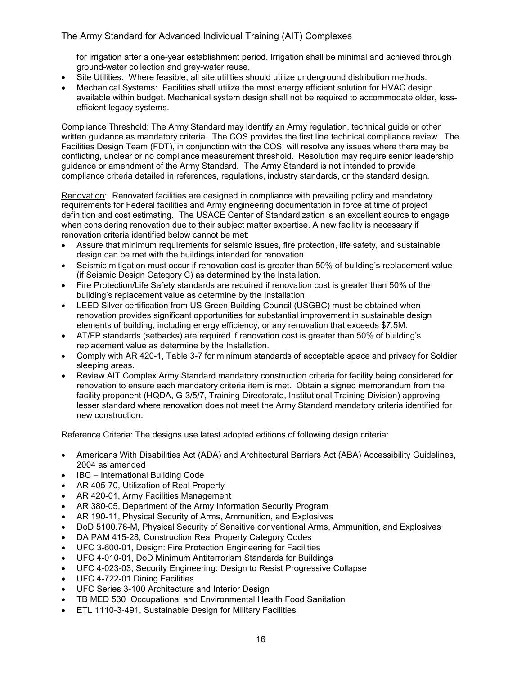for irrigation after a one-year establishment period. Irrigation shall be minimal and achieved through ground-water collection and grey-water reuse.

- Site Utilities: Where feasible, all site utilities should utilize underground distribution methods.
- Mechanical Systems: Facilities shall utilize the most energy efficient solution for HVAC design available within budget. Mechanical system design shall not be required to accommodate older, lessefficient legacy systems.

Compliance Threshold: The Army Standard may identify an Army regulation, technical guide or other written guidance as mandatory criteria. The COS provides the first line technical compliance review. The Facilities Design Team (FDT), in conjunction with the COS, will resolve any issues where there may be conflicting, unclear or no compliance measurement threshold. Resolution may require senior leadership guidance or amendment of the Army Standard. The Army Standard is not intended to provide compliance criteria detailed in references, regulations, industry standards, or the standard design.

Renovation: Renovated facilities are designed in compliance with prevailing policy and mandatory requirements for Federal facilities and Army engineering documentation in force at time of project definition and cost estimating. The USACE Center of Standardization is an excellent source to engage when considering renovation due to their subject matter expertise. A new facility is necessary if renovation criteria identified below cannot be met:

- Assure that minimum requirements for seismic issues, fire protection, life safety, and sustainable design can be met with the buildings intended for renovation.
- Seismic mitigation must occur if renovation cost is greater than 50% of building's replacement value (if Seismic Design Category C) as determined by the Installation.
- Fire Protection/Life Safety standards are required if renovation cost is greater than 50% of the building's replacement value as determine by the Installation.
- LEED Silver certification from US Green Building Council (USGBC) must be obtained when renovation provides significant opportunities for substantial improvement in sustainable design elements of building, including energy efficiency, or any renovation that exceeds \$7.5M.
- AT/FP standards (setbacks) are required if renovation cost is greater than 50% of building's replacement value as determine by the Installation.
- Comply with AR 420-1, Table 3-7 for minimum standards of acceptable space and privacy for Soldier sleeping areas.
- Review AIT Complex Army Standard mandatory construction criteria for facility being considered for renovation to ensure each mandatory criteria item is met. Obtain a signed memorandum from the facility proponent (HQDA, G-3/5/7, Training Directorate, Institutional Training Division) approving lesser standard where renovation does not meet the Army Standard mandatory criteria identified for new construction.

Reference Criteria: The designs use latest adopted editions of following design criteria:

- Americans With Disabilities Act (ADA) and Architectural Barriers Act (ABA) Accessibility Guidelines, 2004 as amended
- IBC International Building Code
- AR 405-70, Utilization of Real Property
- AR 420-01, Army Facilities Management
- AR 380-05, Department of the Army Information Security Program
- AR 190-11, Physical Security of Arms, Ammunition, and Explosives
- DoD 5100.76-M, Physical Security of Sensitive conventional Arms, Ammunition, and Explosives
- DA PAM 415-28, Construction Real Property Category Codes
- UFC 3-600-01, Design: Fire Protection Engineering for Facilities
- UFC 4-010-01, DoD Minimum Antiterrorism Standards for Buildings
- UFC 4-023-03, Security Engineering: Design to Resist Progressive Collapse
- UFC 4-722-01 Dining Facilities
- UFC Series 3-100 Architecture and Interior Design
- TB MED 530 Occupational and Environmental Health Food Sanitation
- ETL 1110-3-491, Sustainable Design for Military Facilities